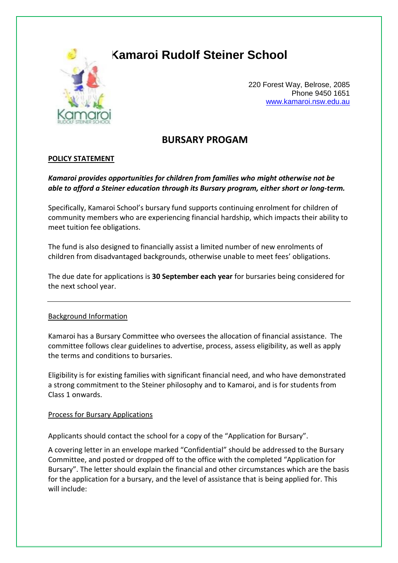

# **Kamaroi Rudolf Steiner School**

220 Forest Way, Belrose, 2085 Phone 9450 1651 [www.kamaroi.nsw.edu.au](http://www.kamaroi.nsw.edu.au/)

# **BURSARY PROGAM**

## **POLICY STATEMENT**

# *Kamaroi provides opportunities for children from families who might otherwise not be able to afford a Steiner education through its Bursary program, either short or long-term.*

Specifically, Kamaroi School's bursary fund supports continuing enrolment for children of community members who are experiencing financial hardship, which impacts their ability to meet tuition fee obligations.

The fund is also designed to financially assist a limited number of new enrolments of children from disadvantaged backgrounds, otherwise unable to meet fees' obligations.

The due date for applications is **30 September each year** for bursaries being considered for the next school year.

### Background Information

Kamaroi has a Bursary Committee who oversees the allocation of financial assistance. The committee follows clear guidelines to advertise, process, assess eligibility, as well as apply the terms and conditions to bursaries.

Eligibility is for existing families with significant financial need, and who have demonstrated a strong commitment to the Steiner philosophy and to Kamaroi, and is for students from Class 1 onwards.

#### Process for Bursary Applications

Applicants should contact the school for a copy of the "Application for Bursary".

A covering letter in an envelope marked "Confidential" should be addressed to the Bursary Committee, and posted or dropped off to the office with the completed "Application for Bursary". The letter should explain the financial and other circumstances which are the basis for the application for a bursary, and the level of assistance that is being applied for. This will include: